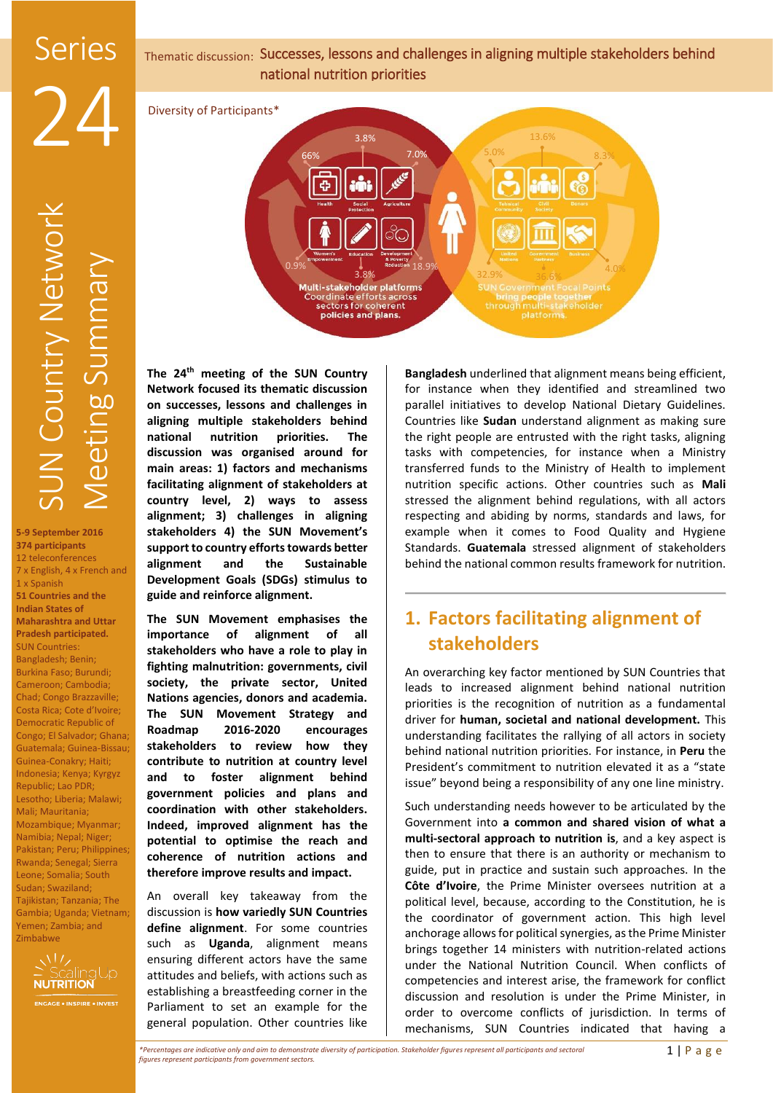

5.0%

3.8% 32.9% 36.6%

13.6%

bring people together<br>through multi-stakeholder

8.3%

4.0%

66% 7.0% 3.8%

0.9% Reduction 18.9%

Coordinate efforts across<br>sectors for coherent

policies and plans.

Diversity of Participants\*

**5-9 September 2016 374 participants**  12 teleconferences 7 x English, 4 x French and 1 x Spanish **51 Countries and the Indian States of Maharashtra and Uttar Pradesh participated.** SUN Countries: Bangladesh; Benin; Burkina Faso; Burundi; Cameroon; Cambodia; Chad; Congo Brazzaville; Costa Rica; Cote d'Ivoire; Democratic Republic of Congo; El Salvador; Ghana; Guatemala; Guinea-Bissau; Guinea-Conakry; Haiti; Indonesia; Kenya; Kyrgyz Republic; Lao PDR; Lesotho; Liberia; Malawi; Mali; Mauritania; Mozambique; Myanmar; Namibia; Nepal; Niger; Pakistan; Peru; Philippines; Rwanda; Senegal; Sierra Leone; Somalia; South Sudan; Swaziland; Tajikistan; Tanzania; The Gambia; Uganda; Vietnam; Yemen; Zambia; and Zimbabwe



**The 24th meeting of the SUN Country Network focused its thematic discussion on successes, lessons and challenges in aligning multiple stakeholders behind national nutrition priorities. The discussion was organised around for main areas: 1) factors and mechanisms facilitating alignment of stakeholders at country level, 2) ways to assess alignment; 3) challenges in aligning stakeholders 4) the SUN Movement's support to country efforts towards better alignment and the Sustainable Development Goals (SDGs) stimulus to guide and reinforce alignment.**

**The SUN Movement emphasises the importance of alignment of all stakeholders who have a role to play in fighting malnutrition: governments, civil society, the private sector, United Nations agencies, donors and academia. The SUN Movement Strategy and Roadmap 2016-2020 encourages stakeholders to review how they contribute to nutrition at country level and to foster alignment behind government policies and plans and coordination with other stakeholders. Indeed, improved alignment has the potential to optimise the reach and coherence of nutrition actions and therefore improve results and impact.**

An overall key takeaway from the discussion is **how variedly SUN Countries define alignment**. For some countries such as **Uganda**, alignment means ensuring different actors have the same attitudes and beliefs, with actions such as establishing a breastfeeding corner in the Parliament to set an example for the general population. Other countries like

**Bangladesh** underlined that alignment means being efficient, for instance when they identified and streamlined two parallel initiatives to develop National Dietary Guidelines. Countries like **Sudan** understand alignment as making sure the right people are entrusted with the right tasks, aligning tasks with competencies, for instance when a Ministry transferred funds to the Ministry of Health to implement nutrition specific actions. Other countries such as **Mali** stressed the alignment behind regulations, with all actors respecting and abiding by norms, standards and laws, for example when it comes to Food Quality and Hygiene Standards. **Guatemala** stressed alignment of stakeholders behind the national common results framework for nutrition.

# **1. Factors facilitating alignment of stakeholders**

An overarching key factor mentioned by SUN Countries that leads to increased alignment behind national nutrition priorities is the recognition of nutrition as a fundamental driver for **human, societal and national development.** This understanding facilitates the rallying of all actors in society behind national nutrition priorities. For instance, in **Peru** the President's commitment to nutrition elevated it as a "state issue" beyond being a responsibility of any one line ministry.

Such understanding needs however to be articulated by the Government into **a common and shared vision of what a multi-sectoral approach to nutrition is**, and a key aspect is then to ensure that there is an authority or mechanism to guide, put in practice and sustain such approaches. In the **Côte d'Ivoire**, the Prime Minister oversees nutrition at a political level, because, according to the Constitution, he is the coordinator of government action. This high level anchorage allows for political synergies, as the Prime Minister brings together 14 ministers with nutrition-related actions under the National Nutrition Council. When conflicts of competencies and interest arise, the framework for conflict discussion and resolution is under the Prime Minister, in order to overcome conflicts of jurisdiction. In terms of mechanisms, SUN Countries indicated that having a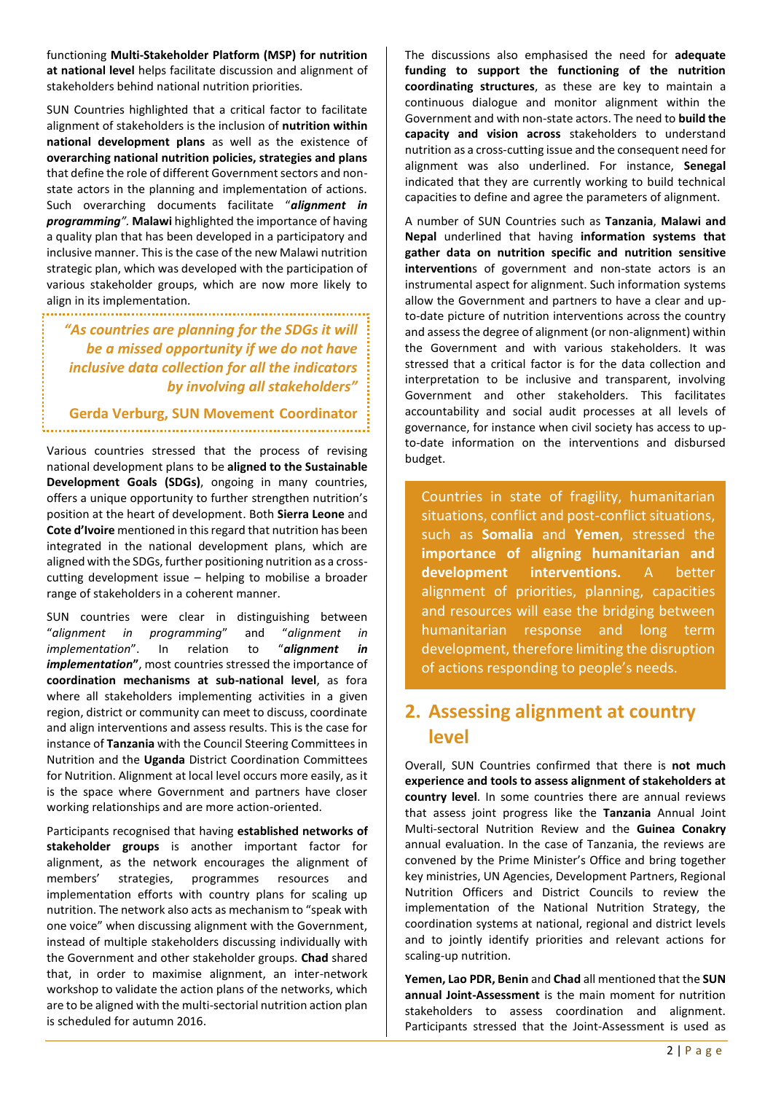functioning **Multi-Stakeholder Platform (MSP) for nutrition at national level** helps facilitate discussion and alignment of stakeholders behind national nutrition priorities.

SUN Countries highlighted that a critical factor to facilitate alignment of stakeholders is the inclusion of **nutrition within national development plans** as well as the existence of **overarching national nutrition policies, strategies and plans** that define the role of different Government sectors and nonstate actors in the planning and implementation of actions. Such overarching documents facilitate "*alignment in programming".* **Malawi** highlighted the importance of having a quality plan that has been developed in a participatory and inclusive manner. This is the case of the new Malawi nutrition strategic plan, which was developed with the participation of various stakeholder groups, which are now more likely to align in its implementation.

*"As countries are planning for the SDGs it will be a missed opportunity if we do not have inclusive data collection for all the indicators by involving all stakeholders"*

### **Gerda Verburg, SUN Movement Coordinator**

Various countries stressed that the process of revising national development plans to be **aligned to the Sustainable Development Goals (SDGs)**, ongoing in many countries, offers a unique opportunity to further strengthen nutrition's position at the heart of development. Both **Sierra Leone** and **Cote d'Ivoire** mentioned in this regard that nutrition has been integrated in the national development plans, which are aligned with the SDGs, further positioning nutrition as a crosscutting development issue – helping to mobilise a broader range of stakeholders in a coherent manner.

SUN countries were clear in distinguishing between "*alignment in programming*" and "*alignment in implementation*". In relation to "*alignment in implementation***"**, most countries stressed the importance of **coordination mechanisms at sub-national level**, as fora where all stakeholders implementing activities in a given region, district or community can meet to discuss, coordinate and align interventions and assess results. This is the case for instance of **Tanzania** with the Council Steering Committees in Nutrition and the **Uganda** District Coordination Committees for Nutrition. Alignment at local level occurs more easily, as it is the space where Government and partners have closer working relationships and are more action-oriented.

Participants recognised that having **established networks of stakeholder groups** is another important factor for alignment, as the network encourages the alignment of members' strategies, programmes resources and implementation efforts with country plans for scaling up nutrition. The network also acts as mechanism to "speak with one voice" when discussing alignment with the Government, instead of multiple stakeholders discussing individually with the Government and other stakeholder groups. **Chad** shared that, in order to maximise alignment, an inter-network workshop to validate the action plans of the networks, which are to be aligned with the multi-sectorial nutrition action plan is scheduled for autumn 2016.

The discussions also emphasised the need for **adequate funding to support the functioning of the nutrition coordinating structures**, as these are key to maintain a continuous dialogue and monitor alignment within the Government and with non-state actors. The need to **build the capacity and vision across** stakeholders to understand nutrition as a cross-cutting issue and the consequent need for alignment was also underlined. For instance, **Senegal** indicated that they are currently working to build technical capacities to define and agree the parameters of alignment.

A number of SUN Countries such as **Tanzania**, **Malawi and Nepal** underlined that having **information systems that gather data on nutrition specific and nutrition sensitive intervention**s of government and non-state actors is an instrumental aspect for alignment. Such information systems allow the Government and partners to have a clear and upto-date picture of nutrition interventions across the country and assess the degree of alignment (or non-alignment) within the Government and with various stakeholders. It was stressed that a critical factor is for the data collection and interpretation to be inclusive and transparent, involving Government and other stakeholders. This facilitates accountability and social audit processes at all levels of governance, for instance when civil society has access to upto-date information on the interventions and disbursed budget.

Countries in state of fragility, humanitarian situations, conflict and post-conflict situations, such as **Somalia** and **Yemen**, stressed the **importance of aligning humanitarian and development interventions.** A better alignment of priorities, planning, capacities and resources will ease the bridging between humanitarian response and long term development, therefore limiting the disruption of actions responding to people's needs.

## **2. Assessing alignment at country level**

Overall, SUN Countries confirmed that there is **not much experience and tools to assess alignment of stakeholders at country level**. In some countries there are annual reviews that assess joint progress like the **Tanzania** Annual Joint Multi-sectoral Nutrition Review and the **Guinea Conakry** annual evaluation. In the case of Tanzania, the reviews are convened by the Prime Minister's Office and bring together key ministries, UN Agencies, Development Partners, Regional Nutrition Officers and District Councils to review the implementation of the National Nutrition Strategy, the coordination systems at national, regional and district levels and to jointly identify priorities and relevant actions for scaling-up nutrition.

**Yemen, Lao PDR, Benin** and **Chad** all mentioned that the **SUN annual Joint-Assessment** is the main moment for nutrition stakeholders to assess coordination and alignment. Participants stressed that the Joint-Assessment is used as